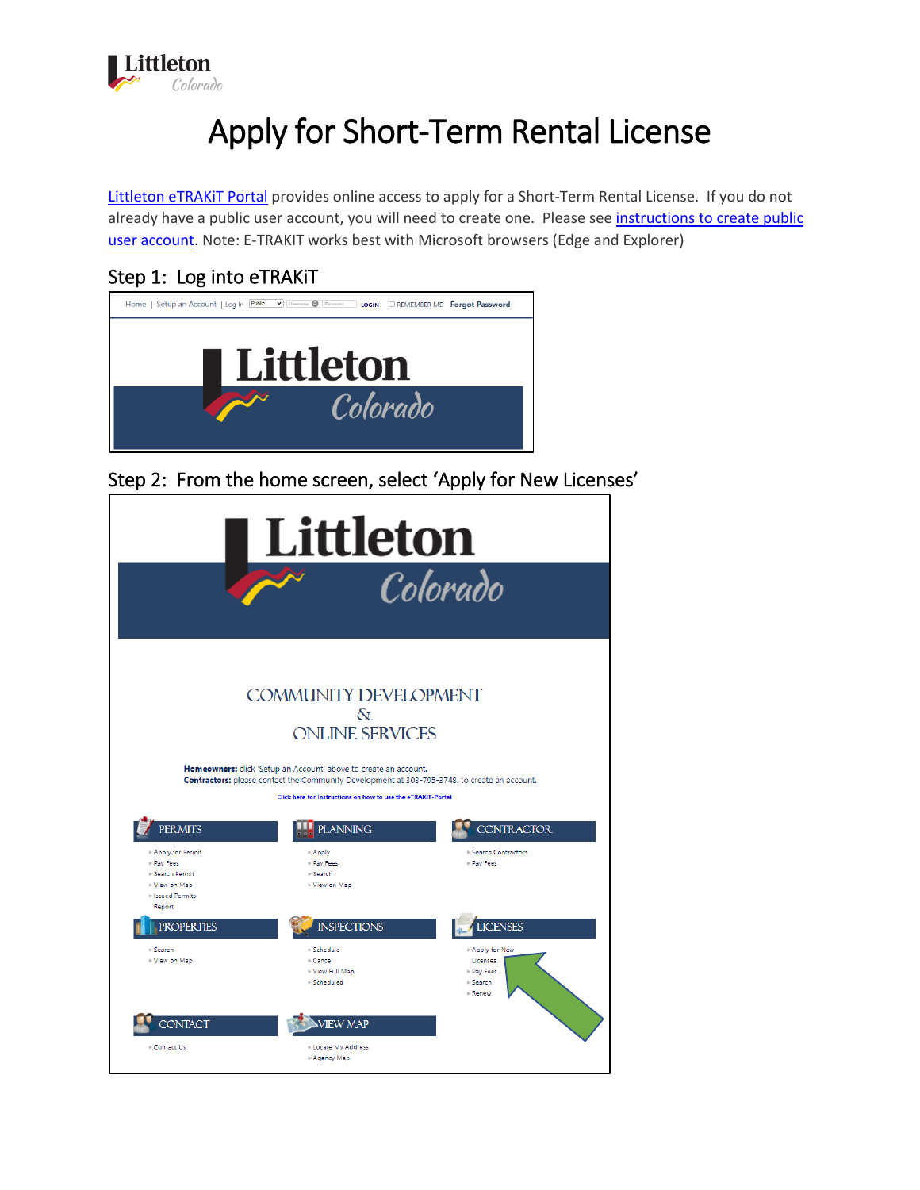

# Apply for Short-Term Rental License

[Littleton eTRAKiT Portal](https://permit9.littletongov.org/eTRAKiT) provides online access to apply for a Short-Term Rental License. If you do not already have a public user account, you will need to create one. Please see [instructions to create public](https://www.littletongov.org/Home/ShowDocument?id=24345)  [user account.](https://www.littletongov.org/Home/ShowDocument?id=24345) Note: E-TRAKIT works best with Microsoft browsers (Edge and Explorer)

#### Step 1: Log into eTRAKiT



Step 2: From the home screen, select 'Apply for New Licenses'

|                                                                                       | Littleton                                                                                                                                                                                                                                                                                              | Colorado                                            |
|---------------------------------------------------------------------------------------|--------------------------------------------------------------------------------------------------------------------------------------------------------------------------------------------------------------------------------------------------------------------------------------------------------|-----------------------------------------------------|
|                                                                                       | <b>COMMUNITY DEVELOPMENT</b><br>$\delta$<br><b>ONLINE SERVICES</b><br>Homeowners: click 'Setup an Account' above to create an account.<br>Contractors: please contact the Community Development at 303-795-3748. to create an account.<br>Click here for Instructions on how to use the eTRAKiT-Portal |                                                     |
| <b>PERMITS</b><br>Apply for Permit<br>Pay Fees<br><b>Search Permit</b><br>View on Map | <b>PLANNING</b><br>$*$ Apply<br>Pay Fees<br>$>$ Search<br>View on Map                                                                                                                                                                                                                                  | <b>CONTRACTOR</b><br>Search Contractors<br>Pay Fees |
| <b>Ilssued Permits</b><br>Report<br><b>PROPERTIES</b><br>⊪ Search<br>View on Map      | <b>INSPECTIONS</b><br>- Schedule<br>Cancel                                                                                                                                                                                                                                                             | <b>LICENSES</b><br>Apply for New                    |
| <b>NTACT</b><br>Contact Us                                                            | View Full Map<br>Scheduled<br><b>VIEW MAP</b><br>Locate My Address                                                                                                                                                                                                                                     | Licenses<br>Pay Fees<br>$>$ Search<br><b>Renew</b>  |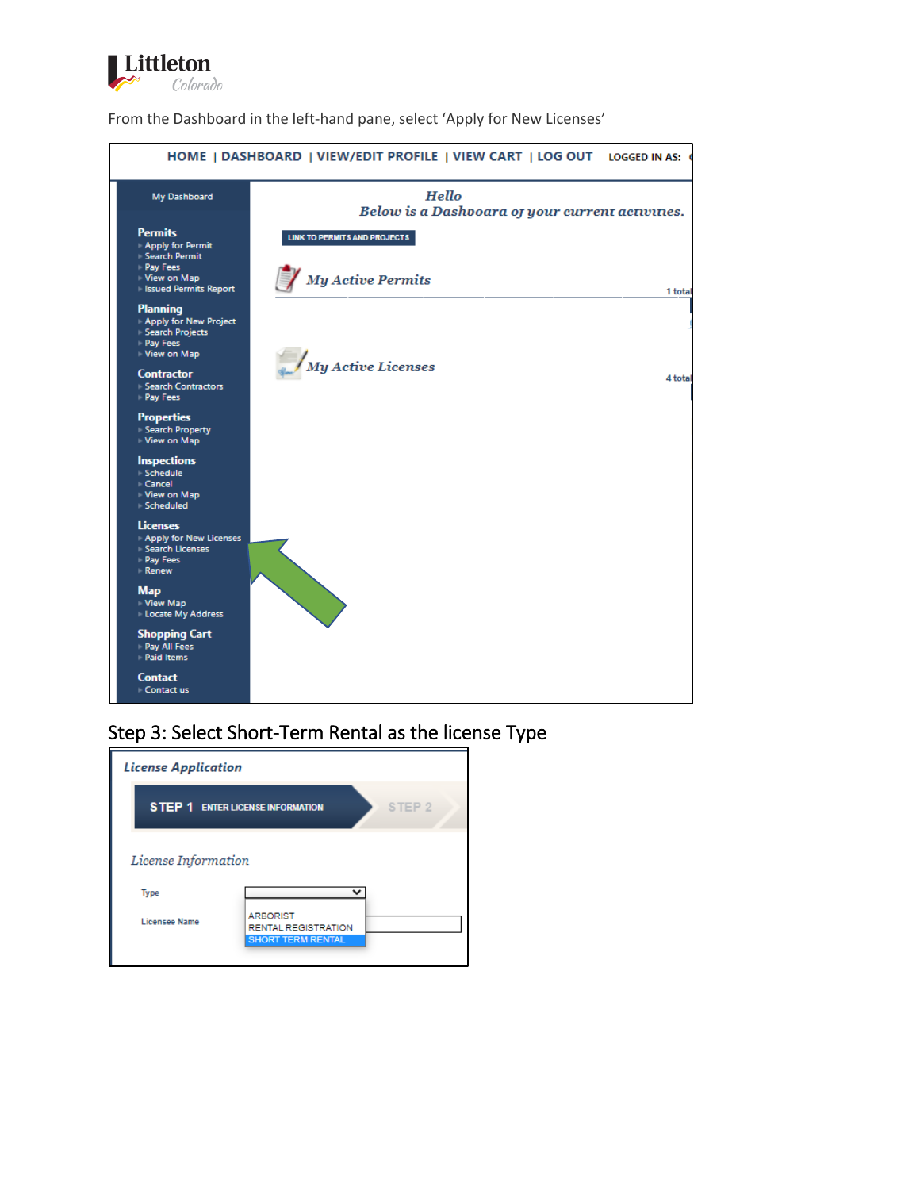

From the Dashboard in the left-hand pane, select 'Apply for New Licenses'



#### Step 3: Select Short-Term Rental as the license Type

| <b>License Application</b> |                                                                           |
|----------------------------|---------------------------------------------------------------------------|
|                            | <b>STEP 1 ENTER LICENSE INFORMATION</b><br>STEP <sub>2</sub>              |
| License Information        |                                                                           |
| <b>Type</b>                |                                                                           |
| <b>Licensee Name</b>       | <b>ARBORIST</b><br><b>RENTAL REGISTRATION</b><br><b>SHORT TERM RENTAL</b> |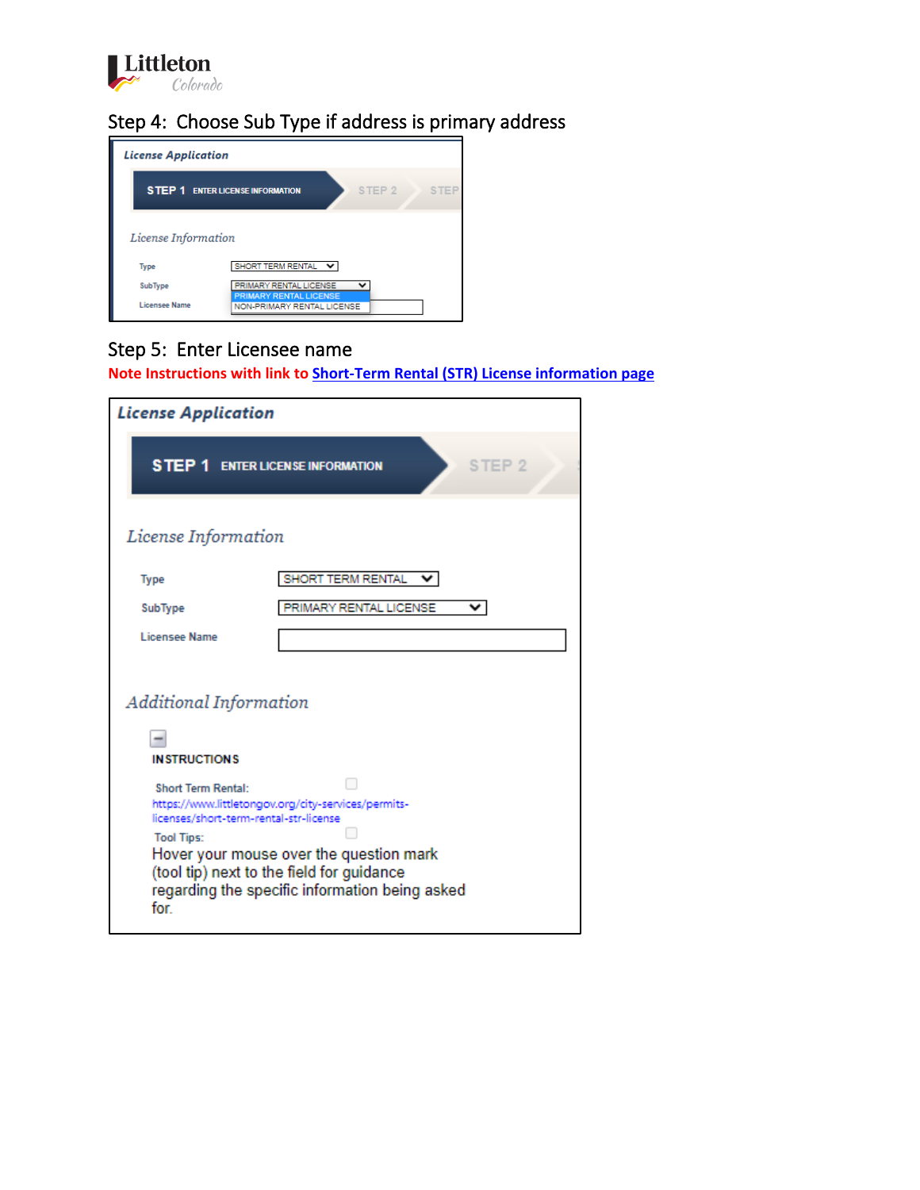

# Step 4: Choose Sub Type if address is primary address



## Step 5: Enter Licensee name

**Note Instructions with link to [Short-Term Rental \(STR\) License information page](https://www.littletongov.org/city-services/permits-licenses/short-term-rental-str-license)**

| <b>License Application</b>                                                                      |                                                                                                                                                                                               |  |
|-------------------------------------------------------------------------------------------------|-----------------------------------------------------------------------------------------------------------------------------------------------------------------------------------------------|--|
| <b>STEP 1 ENTER LICENSE INFORMATION</b>                                                         | STEP <sub>2</sub>                                                                                                                                                                             |  |
| License Information                                                                             |                                                                                                                                                                                               |  |
| <b>Type</b>                                                                                     | SHORT TERM RENTAL                                                                                                                                                                             |  |
| SubType                                                                                         | PRIMARY RENTAL LICENSE<br>v                                                                                                                                                                   |  |
| <b>Licensee Name</b>                                                                            |                                                                                                                                                                                               |  |
|                                                                                                 |                                                                                                                                                                                               |  |
| Additional Information                                                                          |                                                                                                                                                                                               |  |
| <b>INSTRUCTIONS</b>                                                                             |                                                                                                                                                                                               |  |
| <b>Short Term Rental:</b><br>licenses/short-term-rental-str-license<br><b>Tool Tips:</b><br>for | https://www.littletongov.org/city-services/permits-<br>Hover your mouse over the question mark<br>(tool tip) next to the field for guidance<br>regarding the specific information being asked |  |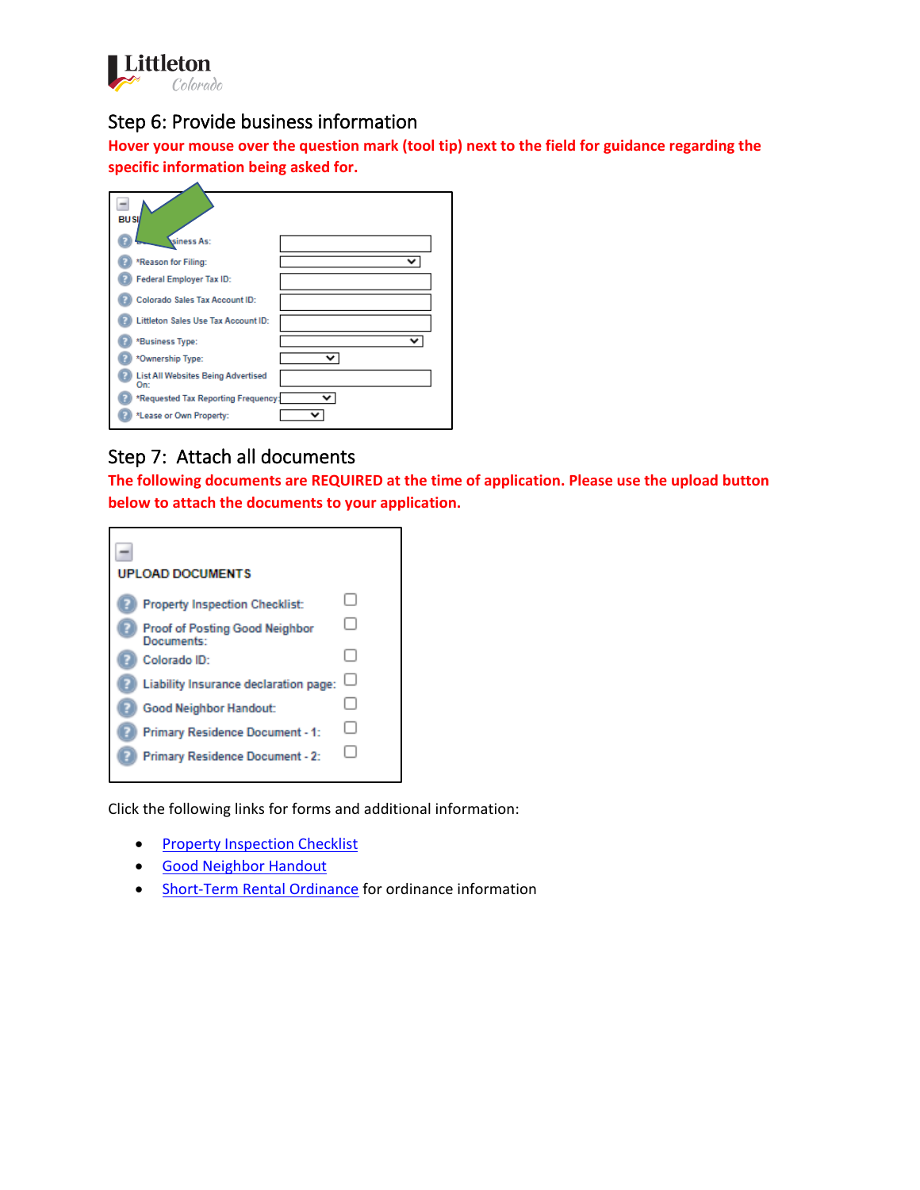

#### Step 6: Provide business information

**Hover your mouse over the question mark (tool tip) next to the field for guidance regarding the specific information being asked for.**

| <b>BUSI</b>                                      |   |
|--------------------------------------------------|---|
| siness As:                                       |   |
| *Reason for Filing:                              | v |
| Federal Employer Tax ID:                         |   |
| <b>Colorado Sales Tax Account ID:</b>            |   |
| Littleton Sales Use Tax Account ID:              |   |
| *Business Type:                                  |   |
| *Ownership Type:                                 |   |
| <b>List All Websites Being Advertised</b><br>On: |   |
| *Requested Tax Reporting Frequency:              |   |
| *Lease or Own Property:                          |   |

#### Step 7: Attach all documents

**The following documents are REQUIRED at the time of application. Please use the upload button below to attach the documents to your application.** 



Click the following links for forms and additional information:

- Property [Inspection Checklist](https://www.littletongov.org/Home/ShowDocument?id=26667)
- [Good Neighbor Handout](https://www.littletongov.org/Home/ShowDocument?id=26665)
- [Short-Term Rental Ordinance](https://codelibrary.amlegal.com/codes/littletonco/latest/littleton_co/0-0-0-18057) for ordinance information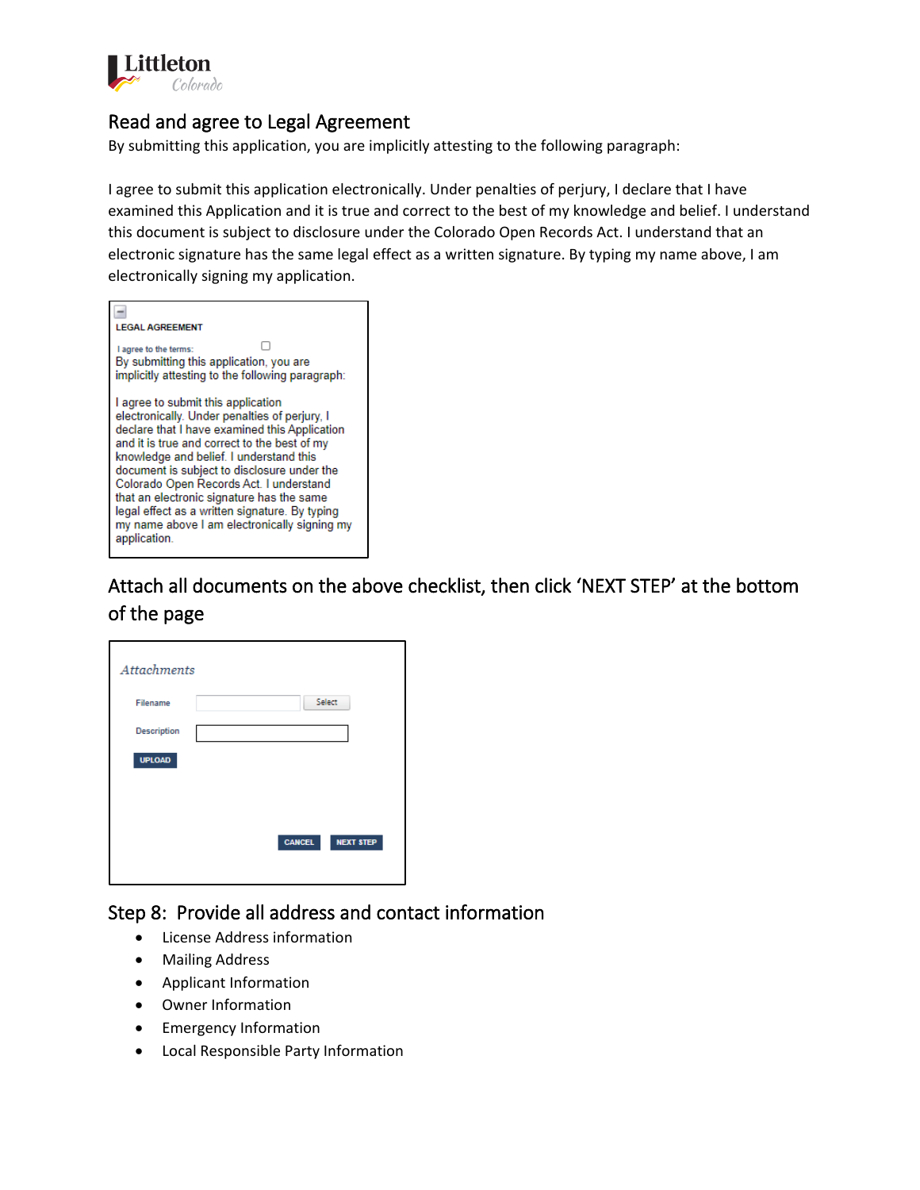

#### Read and agree to Legal Agreement

By submitting this application, you are implicitly attesting to the following paragraph:

I agree to submit this application electronically. Under penalties of perjury, I declare that I have examined this Application and it is true and correct to the best of my knowledge and belief. I understand this document is subject to disclosure under the Colorado Open Records Act. I understand that an electronic signature has the same legal effect as a written signature. By typing my name above, I am electronically signing my application.

| <b>EGAL AGREEMENT</b>                                                                                                                                                                                                                                                                                                                                                                                                                                                                    |
|------------------------------------------------------------------------------------------------------------------------------------------------------------------------------------------------------------------------------------------------------------------------------------------------------------------------------------------------------------------------------------------------------------------------------------------------------------------------------------------|
| I agree to the terms:<br>By submitting this application, you are<br>implicitly attesting to the following paragraph:                                                                                                                                                                                                                                                                                                                                                                     |
| I agree to submit this application<br>electronically. Under penalties of perjury, I<br>declare that I have examined this Application<br>and it is true and correct to the best of my<br>knowledge and belief. I understand this<br>document is subject to disclosure under the<br>Colorado Open Records Act. I understand<br>that an electronic signature has the same<br>legal effect as a written signature. By typing<br>my name above I am electronically signing my<br>application. |

Attach all documents on the above checklist, then click 'NEXT STEP' at the bottom of the page

| <b>Attachments</b> |               |                  |
|--------------------|---------------|------------------|
| Filename           |               | Select           |
| <b>Description</b> |               |                  |
| <b>UPLOAD</b>      |               |                  |
|                    |               |                  |
|                    |               |                  |
|                    | <b>CANCEL</b> | <b>NEXT STEP</b> |
|                    |               |                  |

#### Step 8: Provide all address and contact information

- License Address information
- Mailing Address
- Applicant Information
- Owner Information
- Emergency Information
- Local Responsible Party Information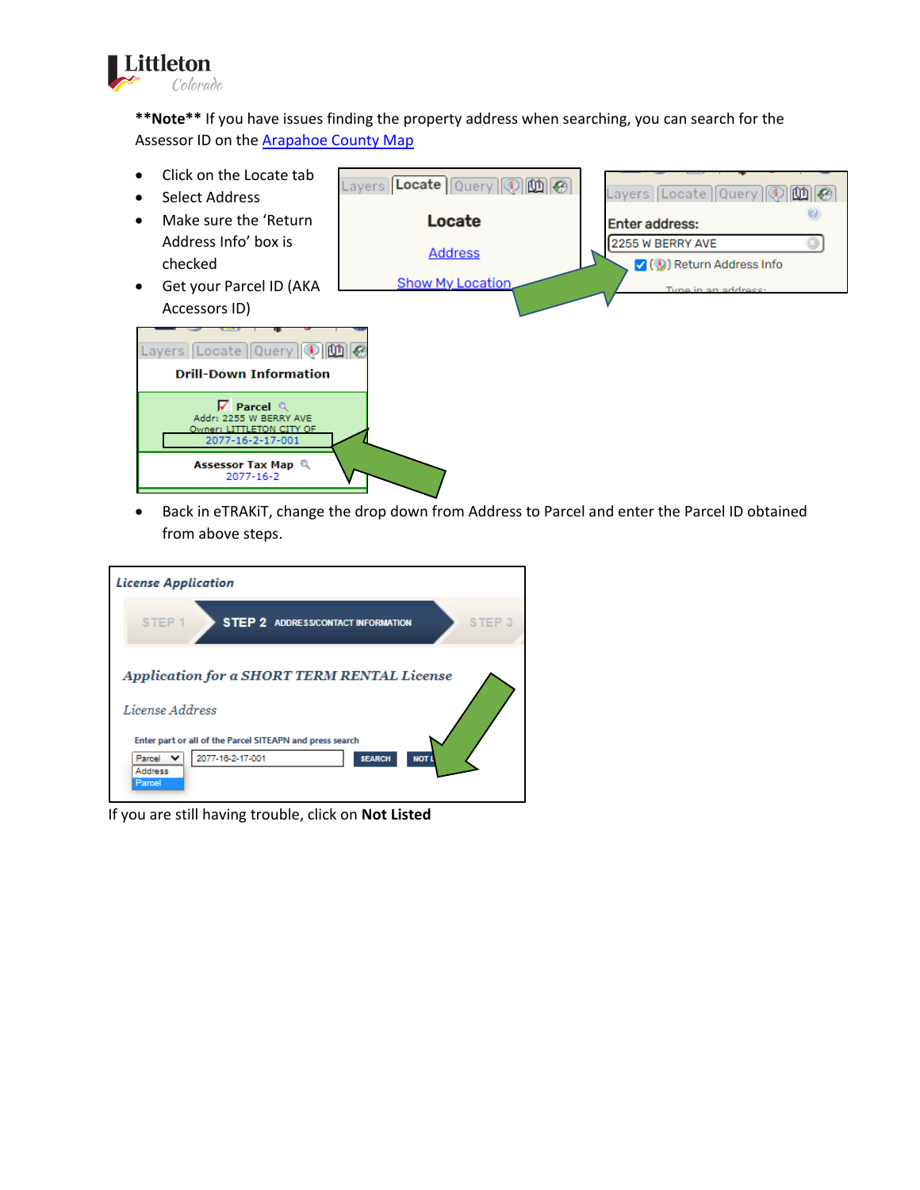

**\*\*Note\*\*** If you have issues finding the property address when searching, you can search for the Assessor ID on [the](https://gis.arapahoegov.com/ArapaMAP/) **[Arapahoe County](https://gis.arapahoegov.com/ArapaMAP/) Map** 



• Back in eTRAKiT, change the drop down from Address to Parcel and enter the Parcel ID obtained from above steps.



If you are still having trouble, click on **Not Listed**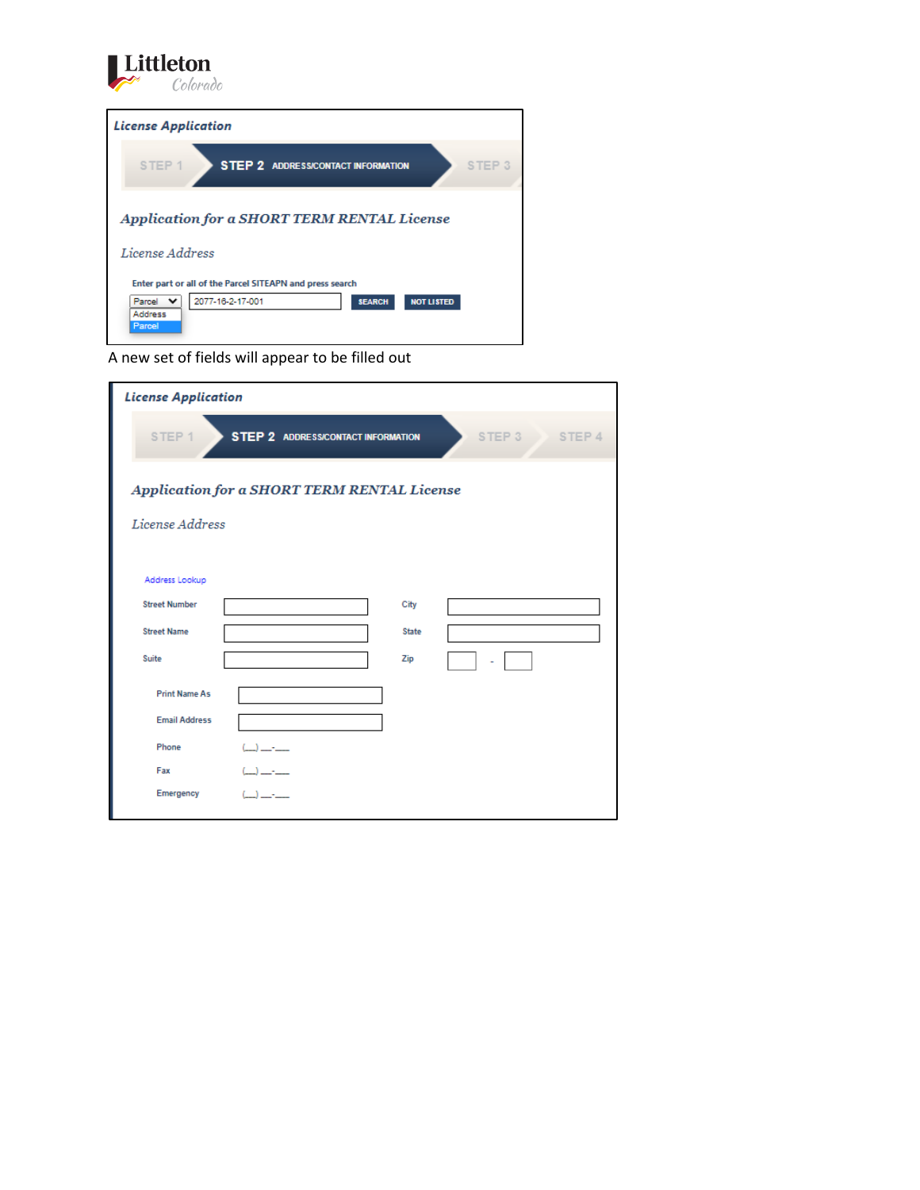**License Application** STEP 1 STEP 2 ADDRESS/CONTACT INFORMATION STEP 3 Application for a SHORT TERM RENTAL License License Address Enter part or all of the Parcel SITEAPN and press search Parcel V<br>Address<br>Parcel 2077-16-2-17-001 SEARCH NOT LISTED



Littleton

| <b>License Application</b> |                                             |               |
|----------------------------|---------------------------------------------|---------------|
| STEP <sub>1</sub>          | <b>STEP 2 ADDRESS/CONTACT INFORMATION</b>   | STEP 3 STEP 4 |
|                            | Application for a SHORT TERM RENTAL License |               |
| License Address            |                                             |               |
|                            |                                             |               |
| Address Lookup             |                                             |               |
| <b>Street Number</b>       | City                                        |               |
| <b>Street Name</b>         | <b>State</b>                                |               |
| Suite                      | Zip                                         |               |
| <b>Print Name As</b>       |                                             |               |
| <b>Email Address</b>       |                                             |               |
| Phone                      | $\sim$ $\sim$                               |               |
| Fax                        | $1 - 1$                                     |               |
| Emergency                  | $(1 - 5)$                                   |               |
|                            |                                             |               |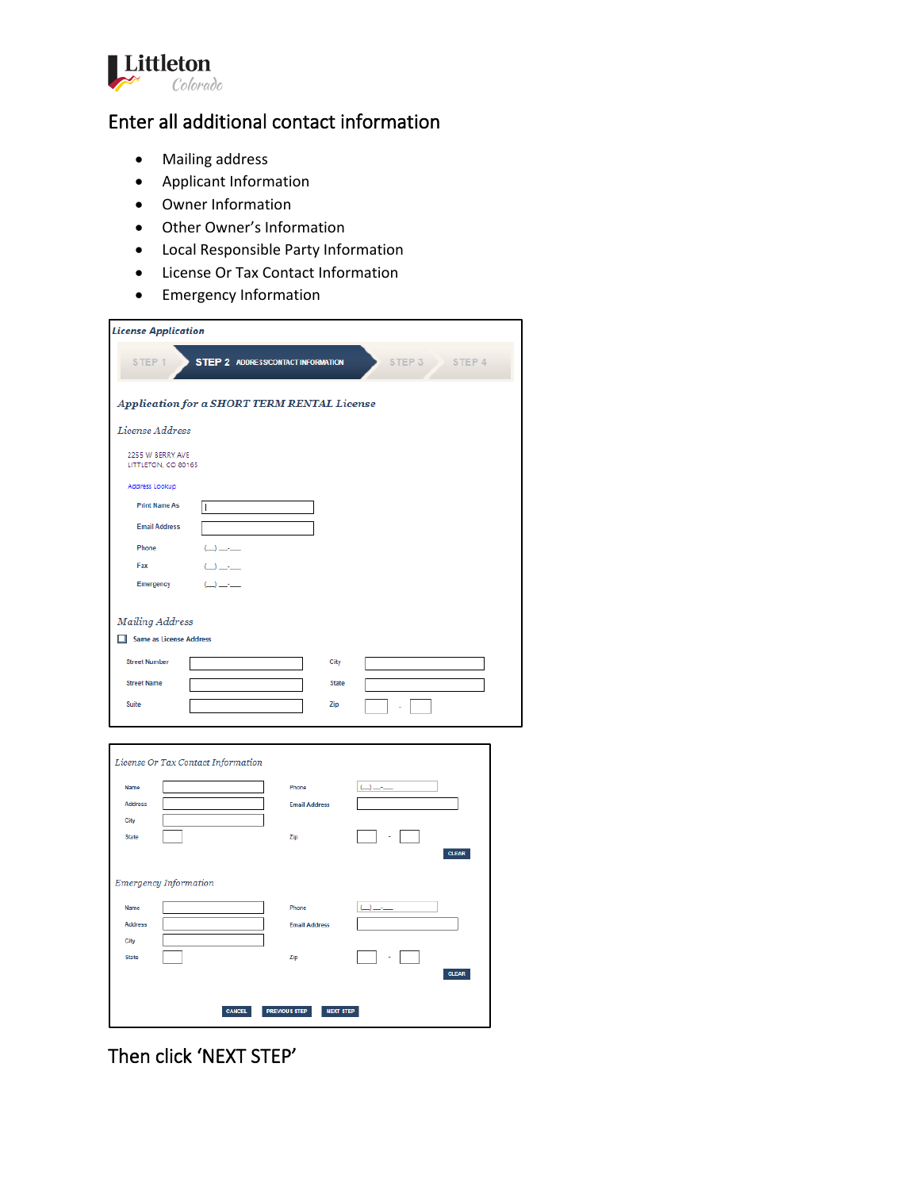

### Enter all additional contact information

- Mailing address
- Applicant Information
- Owner Information
- Other Owner's Information
- Local Responsible Party Information
- License Or Tax Contact Information
- Emergency Information

| <b>License Application</b>                                         |                                                                                                                                                                                                                                                                                                                                                                          |
|--------------------------------------------------------------------|--------------------------------------------------------------------------------------------------------------------------------------------------------------------------------------------------------------------------------------------------------------------------------------------------------------------------------------------------------------------------|
| <b>STEP 2 ADDRESS/CONTACT INFORMATION</b><br>STEP 1                | STEP 3<br>STEP 4                                                                                                                                                                                                                                                                                                                                                         |
| Application for a SHORT TERM RENTAL License                        |                                                                                                                                                                                                                                                                                                                                                                          |
| License Address                                                    |                                                                                                                                                                                                                                                                                                                                                                          |
| 2255 W BERRY AVE<br>LITTLETON, CO 80165                            |                                                                                                                                                                                                                                                                                                                                                                          |
| Address Lookup                                                     |                                                                                                                                                                                                                                                                                                                                                                          |
| <b>Print Name As</b><br>$\overline{\phantom{a}}$                   |                                                                                                                                                                                                                                                                                                                                                                          |
| <b>Email Address</b>                                               |                                                                                                                                                                                                                                                                                                                                                                          |
| Phone<br>$\left(\frac{1}{2}\right)$ and $\left(\frac{1}{2}\right)$ |                                                                                                                                                                                                                                                                                                                                                                          |
| Fax<br>$\rightarrow$ $\rightarrow$ $\rightarrow$                   |                                                                                                                                                                                                                                                                                                                                                                          |
| Emergency<br>سنتجب لأسبأ                                           |                                                                                                                                                                                                                                                                                                                                                                          |
|                                                                    |                                                                                                                                                                                                                                                                                                                                                                          |
| <b>Mailing Address</b>                                             |                                                                                                                                                                                                                                                                                                                                                                          |
| Same as License Address                                            |                                                                                                                                                                                                                                                                                                                                                                          |
| <b>Street Number</b>                                               | City                                                                                                                                                                                                                                                                                                                                                                     |
| <b>Street Name</b>                                                 | <b>State</b>                                                                                                                                                                                                                                                                                                                                                             |
| Suite                                                              | Zip                                                                                                                                                                                                                                                                                                                                                                      |
|                                                                    |                                                                                                                                                                                                                                                                                                                                                                          |
|                                                                    |                                                                                                                                                                                                                                                                                                                                                                          |
| License Or Tax Contact Information                                 |                                                                                                                                                                                                                                                                                                                                                                          |
| Name                                                               | Phone<br>لمساف                                                                                                                                                                                                                                                                                                                                                           |
| <b>Address</b>                                                     | <b>Email Address</b>                                                                                                                                                                                                                                                                                                                                                     |
| City                                                               |                                                                                                                                                                                                                                                                                                                                                                          |
| <b>State</b>                                                       | Zip<br><b>CLEAR</b>                                                                                                                                                                                                                                                                                                                                                      |
|                                                                    |                                                                                                                                                                                                                                                                                                                                                                          |
| <b>Emergency Information</b>                                       |                                                                                                                                                                                                                                                                                                                                                                          |
| Name                                                               | Phone<br>$\left(\begin{array}{c} \rule{0.2cm}{1.1cm} \rule{0.2cm}{1.1cm} \rule{0.2cm}{1.1cm} \rule{0.2cm}{1.1cm} \rule{0.2cm}{1.1cm} \rule{0.2cm}{1.1cm} \rule{0.2cm}{1.1cm} \rule{0.2cm}{1.1cm} \rule{0.2cm}{1.1cm} \rule{0.2cm}{1.1cm} \rule{0.2cm}{1.1cm} \rule{0.2cm}{1.1cm} \rule{0.2cm}{1.1cm} \rule{0.2cm}{1.1cm} \rule{0.2cm}{1.1cm} \rule{0.2cm}{1.1cm} \rule{$ |
| <b>Address</b>                                                     | <b>Email Address</b>                                                                                                                                                                                                                                                                                                                                                     |
| City                                                               |                                                                                                                                                                                                                                                                                                                                                                          |
| <b>State</b>                                                       | Zip                                                                                                                                                                                                                                                                                                                                                                      |
|                                                                    | <b>CLEAR</b>                                                                                                                                                                                                                                                                                                                                                             |
| <b>PREVIOUS STEP</b><br><b>CANCEL</b>                              | <b>NEXT STEP</b>                                                                                                                                                                                                                                                                                                                                                         |
|                                                                    |                                                                                                                                                                                                                                                                                                                                                                          |

Then click 'NEXT STEP'